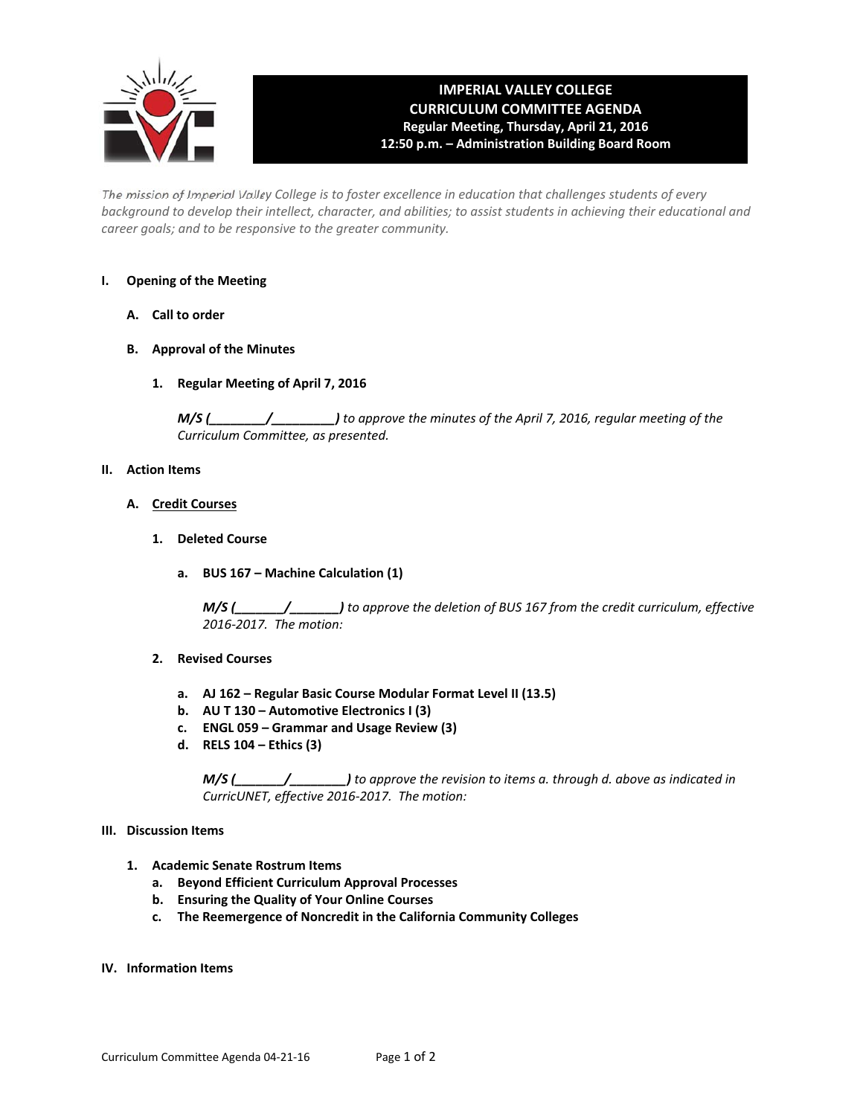

#### **IMPERIAL VALLEY COLLEGE CURRICULUM COMMITTEE AGENDA Regular Meeting, Thursday, April 21, 2016 12:50 p.m. – Administration Building Board Room**

The mission of Imperial Valley College is to foster excellence in education that challenges students of every background to develop their intellect, character, and abilities; to assist students in achieving their educational and *career goals; and to be responsive to the greater community.*

#### **I. Opening of the Meeting**

- **A. Call to order**
- **B. Approval of the Minutes**
	- **1. Regular Meeting of April 7, 2016**

*M/S (\_\_\_\_\_\_\_\_/\_\_\_\_\_\_\_\_\_) to approve the minutes of the April 7, 2016, regular meeting of the Curriculum Committee, as presented.* 

#### **II. Action Items**

- **A. Credit Courses**
	- **1. Deleted Course**
		- **a. BUS 167 – Machine Calculation (1)**

 *M/S (\_\_\_\_\_\_\_/\_\_\_\_\_\_\_) to approve the deletion of BUS 167 from the credit curriculum, effective 2016‐2017. The motion:*

- **2. Revised Courses**
	- **a. AJ 162 – Regular Basic Course Modular Format Level II (13.5)**
	- **b. AU T 130 – Automotive Electronics I (3)**
	- **c. ENGL 059 – Grammar and Usage Review (3)**
	- **d. RELS 104 – Ethics (3)**

 *M/S (\_\_\_\_\_\_\_/\_\_\_\_\_\_\_\_) to approve the revision to items a. through d. above as indicated in CurricUNET, effective 2016‐2017. The motion:*

#### **III. Discussion Items**

- **1. Academic Senate Rostrum Items**
	- **a. Beyond Efficient Curriculum Approval Processes**
	- **b. Ensuring the Quality of Your Online Courses**
	- **c. The Reemergence of Noncredit in the California Community Colleges**
- **IV. Information Items**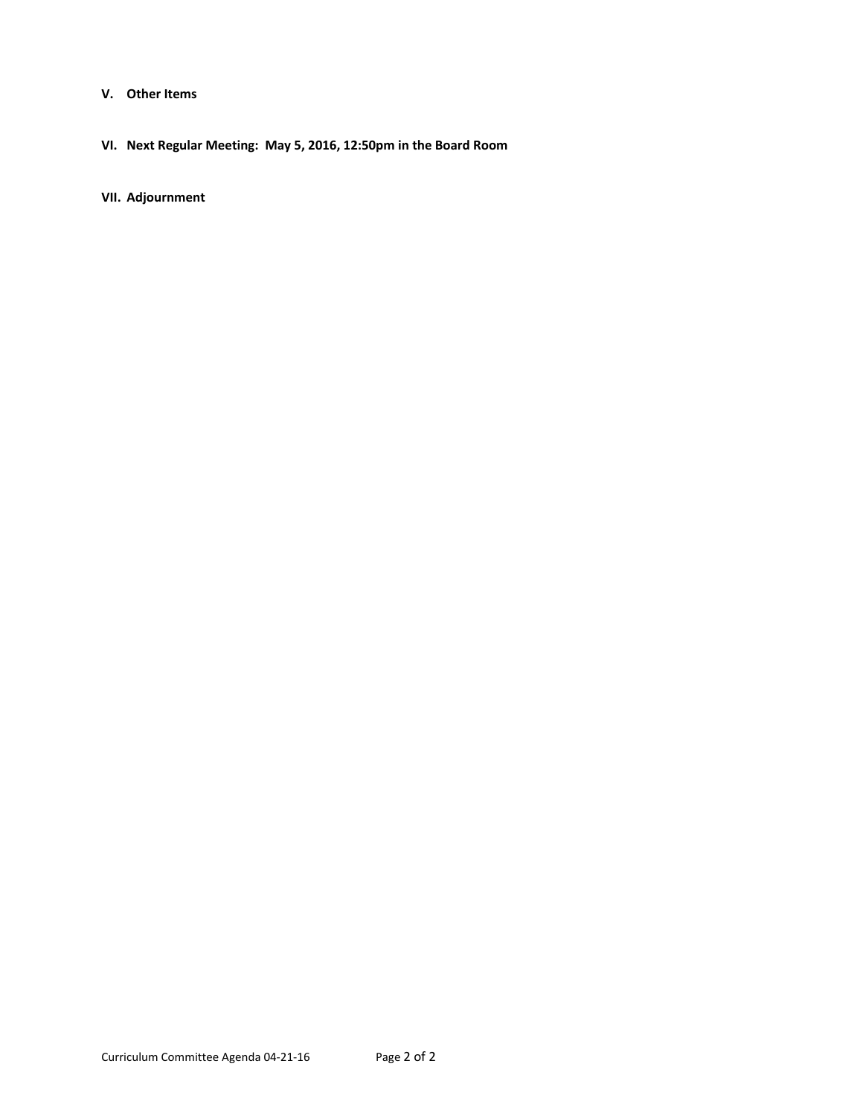- **V. Other Items**
- **VI. Next Regular Meeting: May 5, 2016, 12:50pm in the Board Room**

**VII. Adjournment**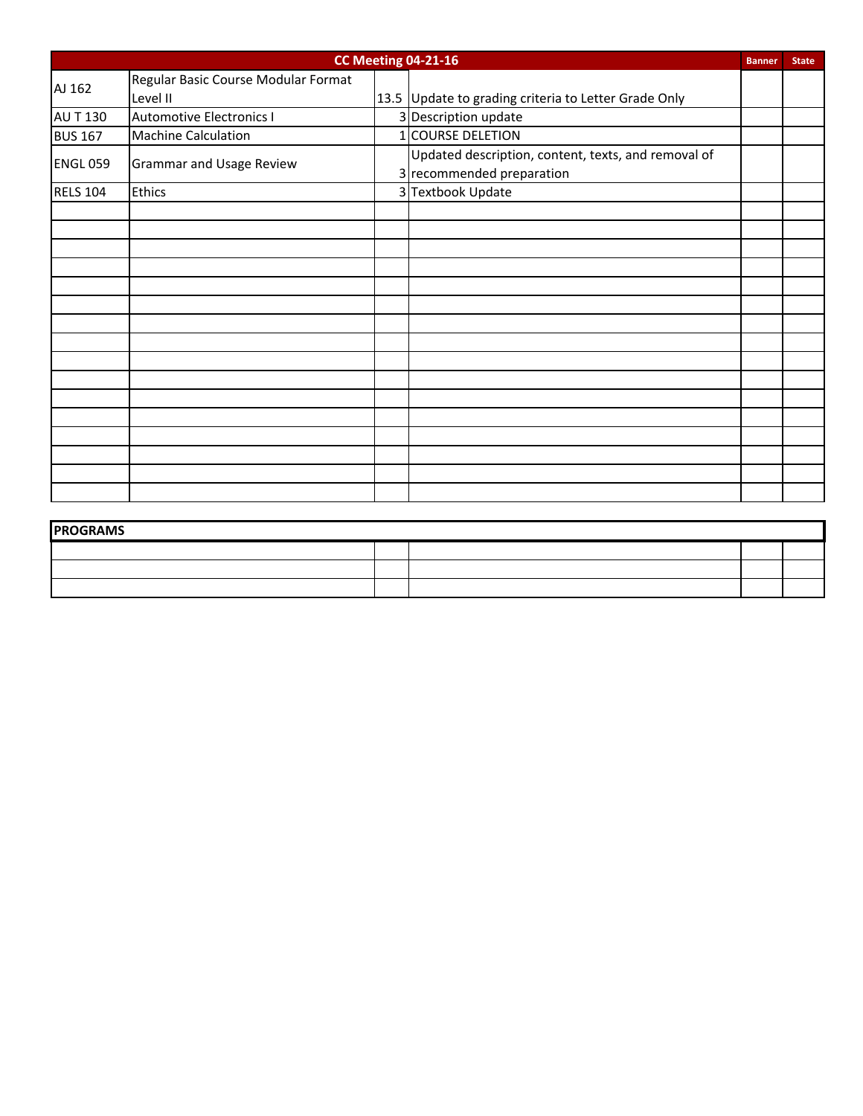| <b>CC Meeting 04-21-16</b><br><b>Banner</b> |                                     |  |                                                                                  |  |  |  |
|---------------------------------------------|-------------------------------------|--|----------------------------------------------------------------------------------|--|--|--|
| AJ 162                                      | Regular Basic Course Modular Format |  |                                                                                  |  |  |  |
|                                             | Level II                            |  | 13.5 Update to grading criteria to Letter Grade Only                             |  |  |  |
| <b>AU T 130</b>                             | <b>Automotive Electronics I</b>     |  | 3 Description update                                                             |  |  |  |
| <b>BUS 167</b>                              | <b>Machine Calculation</b>          |  | 1 COURSE DELETION                                                                |  |  |  |
| <b>ENGL 059</b>                             | <b>Grammar and Usage Review</b>     |  | Updated description, content, texts, and removal of<br>3 recommended preparation |  |  |  |
| <b>RELS 104</b>                             | <b>Ethics</b>                       |  | 3 Textbook Update                                                                |  |  |  |
|                                             |                                     |  |                                                                                  |  |  |  |
|                                             |                                     |  |                                                                                  |  |  |  |
|                                             |                                     |  |                                                                                  |  |  |  |
|                                             |                                     |  |                                                                                  |  |  |  |
|                                             |                                     |  |                                                                                  |  |  |  |
|                                             |                                     |  |                                                                                  |  |  |  |
|                                             |                                     |  |                                                                                  |  |  |  |
|                                             |                                     |  |                                                                                  |  |  |  |
|                                             |                                     |  |                                                                                  |  |  |  |
|                                             |                                     |  |                                                                                  |  |  |  |
|                                             |                                     |  |                                                                                  |  |  |  |
|                                             |                                     |  |                                                                                  |  |  |  |
|                                             |                                     |  |                                                                                  |  |  |  |
|                                             |                                     |  |                                                                                  |  |  |  |
|                                             |                                     |  |                                                                                  |  |  |  |
|                                             |                                     |  |                                                                                  |  |  |  |

| <b>PROGRAMS</b> |  |  |  |  |  |  |  |  |  |  |
|-----------------|--|--|--|--|--|--|--|--|--|--|
|                 |  |  |  |  |  |  |  |  |  |  |
|                 |  |  |  |  |  |  |  |  |  |  |
|                 |  |  |  |  |  |  |  |  |  |  |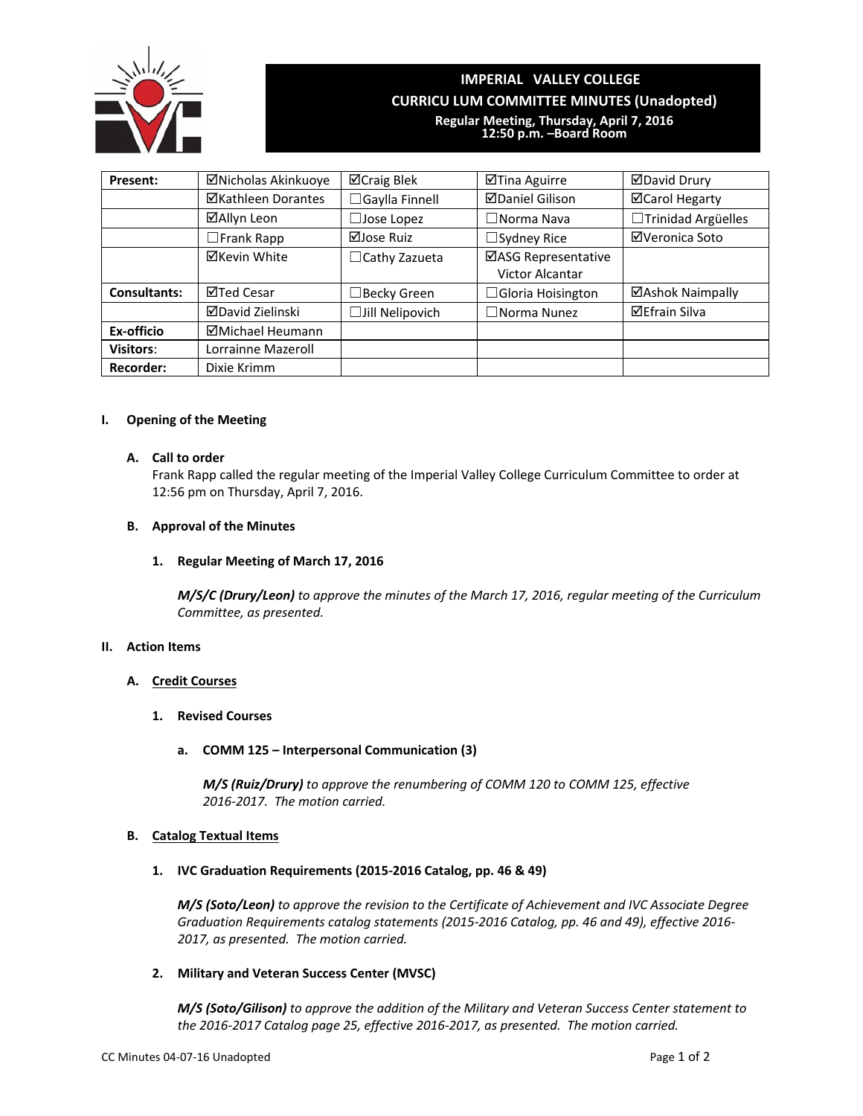

### **IMPERIAL VALLEY COLLEGE CURRICU LUM COMMITTEE MINUTES (Unadopted)**

**Regular Meeting, Thursday, April 7, 2016 12:50 p.m. –Board Room**

| Present:            | ⊠Nicholas Akinkuoye | ⊠Craig Blek            | ⊠Tina Aguirre                                 | <b>ØDavid Drury</b>   |
|---------------------|---------------------|------------------------|-----------------------------------------------|-----------------------|
|                     | ⊠Kathleen Dorantes  | $\Box$ Gaylla Finnell  | <b>ØDaniel Gilison</b>                        | <b>⊠Carol Hegarty</b> |
|                     | ⊠Allyn Leon         | $\Box$ Jose Lopez      | $\Box$ Norma Nava                             | □Trinidad Argüelles   |
|                     | $\Box$ Frank Rapp   | ⊠Jose Ruiz             | $\Box$ Sydney Rice                            | ⊠Veronica Soto        |
|                     | ⊠Kevin White        | $\Box$ Cathy Zazueta   | ⊠ASG Representative<br><b>Victor Alcantar</b> |                       |
| <b>Consultants:</b> | ⊠Ted Cesar          | $\Box$ Becky Green     | $\Box$ Gloria Hoisington                      | ⊠Ashok Naimpally      |
|                     | ⊠David Zielinski    | $\Box$ Jill Nelipovich | $\Box$ Norma Nunez                            | <b>⊠Efrain Silva</b>  |
| Ex-officio          | ⊠Michael Heumann    |                        |                                               |                       |
| <b>Visitors:</b>    | Lorrainne Mazeroll  |                        |                                               |                       |
| <b>Recorder:</b>    | Dixie Krimm         |                        |                                               |                       |

#### **I. Opening of the Meeting**

#### **A. Call to order**

Frank Rapp called the regular meeting of the Imperial Valley College Curriculum Committee to order at 12:56 pm on Thursday, April 7, 2016.

#### **B. Approval of the Minutes**

#### **1. Regular Meeting of March 17, 2016**

*M/S/C (Drury/Leon) to approve the minutes of the March 17, 2016, regular meeting of the Curriculum Committee, as presented.*

#### **II. Action Items**

#### **A. Credit Courses**

**1. Revised Courses**

#### **a. COMM 125 – Interpersonal Communication (3)**

*M/S (Ruiz/Drury) to approve the renumbering of COMM 120 to COMM 125, effective 2016‐2017. The motion carried.*

#### **B. Catalog Textual Items**

#### **1. IVC Graduation Requirements (2015‐2016 Catalog, pp. 46 & 49)**

*M/S (Soto/Leon) to approve the revision to the Certificate of Achievement and IVC Associate Degree Graduation Requirements catalog statements (2015‐2016 Catalog, pp. 46 and 49), effective 2016‐ 2017, as presented. The motion carried.*

#### **2. Military and Veteran Success Center (MVSC)**

*M/S (Soto/Gilison) to approve the addition of the Military and Veteran Success Center statement to the 2016‐2017 Catalog page 25, effective 2016‐2017, as presented. The motion carried.*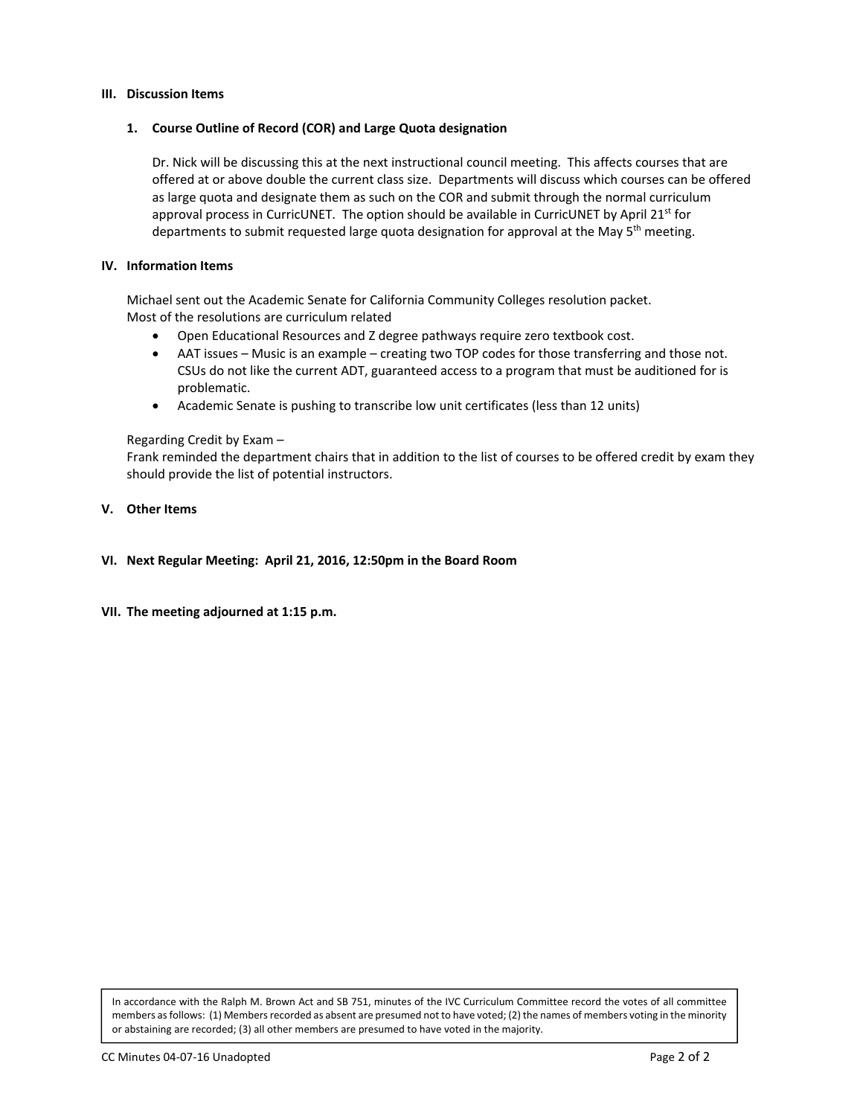#### **III. Discussion Items**

#### **1. Course Outline of Record (COR) and Large Quota designation**

Dr. Nick will be discussing this at the next instructional council meeting. This affects courses that are offered at or above double the current class size. Departments will discuss which courses can be offered as large quota and designate them as such on the COR and submit through the normal curriculum approval process in CurricUNET. The option should be available in CurricUNET by April 21<sup>st</sup> for departments to submit requested large quota designation for approval at the May 5<sup>th</sup> meeting.

#### **IV. Information Items**

Michael sent out the Academic Senate for California Community Colleges resolution packet. Most of the resolutions are curriculum related

- Open Educational Resources and Z degree pathways require zero textbook cost.
- AAT issues Music is an example creating two TOP codes for those transferring and those not. CSUs do not like the current ADT, guaranteed access to a program that must be auditioned for is problematic.
- Academic Senate is pushing to transcribe low unit certificates (less than 12 units)

#### Regarding Credit by Exam –

Frank reminded the department chairs that in addition to the list of courses to be offered credit by exam they should provide the list of potential instructors.

#### **V. Other Items**

- **VI. Next Regular Meeting: April 21, 2016, 12:50pm in the Board Room**
- **VII. The meeting adjourned at 1:15 p.m.**

In accordance with the Ralph M. Brown Act and SB 751, minutes of the IVC Curriculum Committee record the votes of all committee members as follows: (1) Members recorded as absent are presumed not to have voted; (2) the names of members voting in the minority or abstaining are recorded; (3) all other members are presumed to have voted in the majority.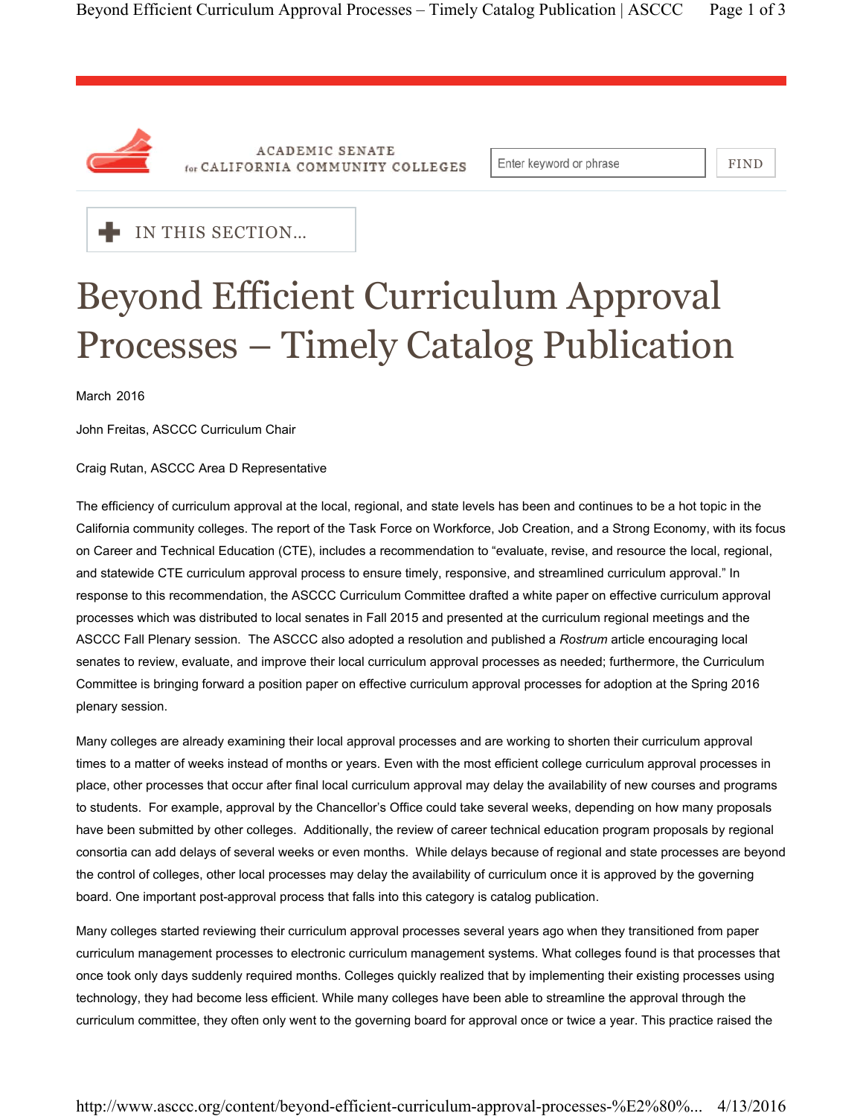

**ACADEMIC SENATE** for CALIFORNIA COMMUNITY COLLEGES

Enter keyword or phrase

FIND



## Beyond Efficient Curriculum Approval Processes – Timely Catalog Publication

March 2016

John Freitas, ASCCC Curriculum Chair

Craig Rutan, ASCCC Area D Representative

The efficiency of curriculum approval at the local, regional, and state levels has been and continues to be a hot topic in the California community colleges. The report of the Task Force on Workforce, Job Creation, and a Strong Economy, with its focus on Career and Technical Education (CTE), includes a recommendation to "evaluate, revise, and resource the local, regional, and statewide CTE curriculum approval process to ensure timely, responsive, and streamlined curriculum approval." In response to this recommendation, the ASCCC Curriculum Committee drafted a white paper on effective curriculum approval processes which was distributed to local senates in Fall 2015 and presented at the curriculum regional meetings and the ASCCC Fall Plenary session. The ASCCC also adopted a resolution and published a *Rostrum* article encouraging local senates to review, evaluate, and improve their local curriculum approval processes as needed; furthermore, the Curriculum Committee is bringing forward a position paper on effective curriculum approval processes for adoption at the Spring 2016 plenary session.

Many colleges are already examining their local approval processes and are working to shorten their curriculum approval times to a matter of weeks instead of months or years. Even with the most efficient college curriculum approval processes in place, other processes that occur after final local curriculum approval may delay the availability of new courses and programs to students. For example, approval by the Chancellor's Office could take several weeks, depending on how many proposals have been submitted by other colleges. Additionally, the review of career technical education program proposals by regional consortia can add delays of several weeks or even months. While delays because of regional and state processes are beyond the control of colleges, other local processes may delay the availability of curriculum once it is approved by the governing board. One important post-approval process that falls into this category is catalog publication.

Many colleges started reviewing their curriculum approval processes several years ago when they transitioned from paper curriculum management processes to electronic curriculum management systems. What colleges found is that processes that once took only days suddenly required months. Colleges quickly realized that by implementing their existing processes using technology, they had become less efficient. While many colleges have been able to streamline the approval through the curriculum committee, they often only went to the governing board for approval once or twice a year. This practice raised the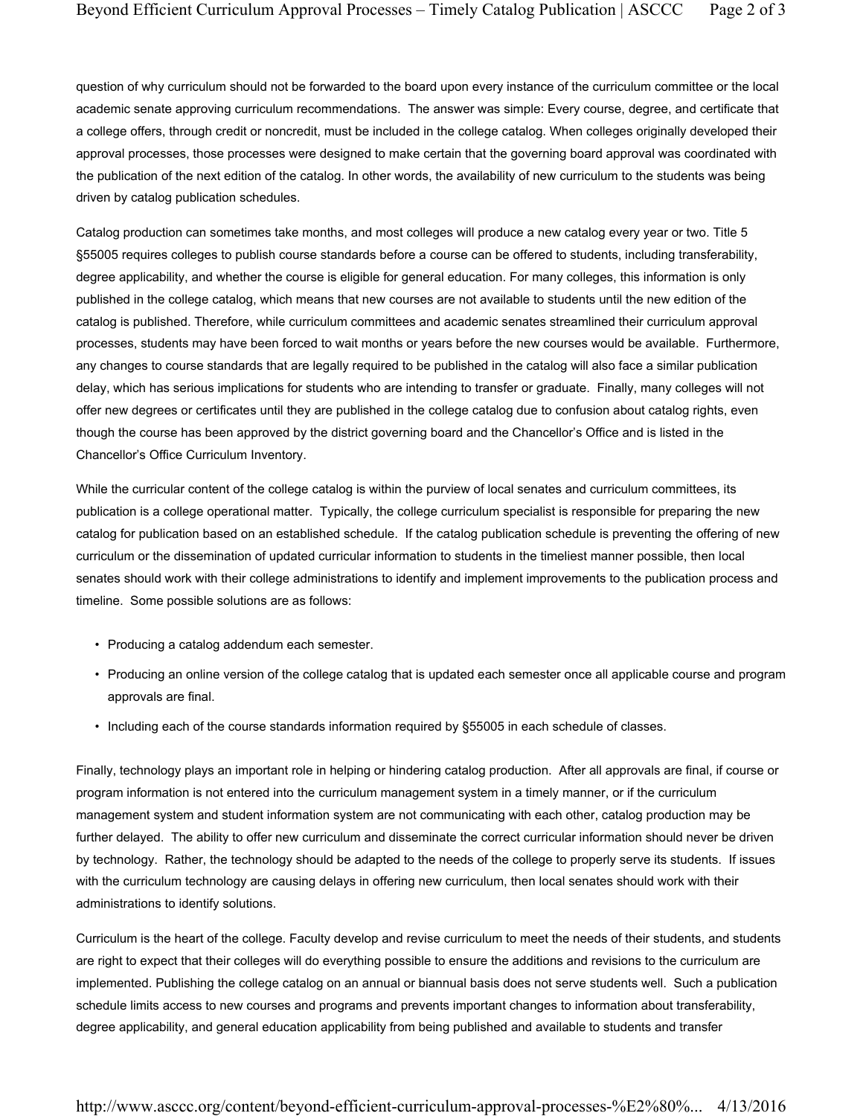question of why curriculum should not be forwarded to the board upon every instance of the curriculum committee or the local academic senate approving curriculum recommendations. The answer was simple: Every course, degree, and certificate that a college offers, through credit or noncredit, must be included in the college catalog. When colleges originally developed their approval processes, those processes were designed to make certain that the governing board approval was coordinated with the publication of the next edition of the catalog. In other words, the availability of new curriculum to the students was being driven by catalog publication schedules.

Catalog production can sometimes take months, and most colleges will produce a new catalog every year or two. Title 5 §55005 requires colleges to publish course standards before a course can be offered to students, including transferability, degree applicability, and whether the course is eligible for general education. For many colleges, this information is only published in the college catalog, which means that new courses are not available to students until the new edition of the catalog is published. Therefore, while curriculum committees and academic senates streamlined their curriculum approval processes, students may have been forced to wait months or years before the new courses would be available. Furthermore, any changes to course standards that are legally required to be published in the catalog will also face a similar publication delay, which has serious implications for students who are intending to transfer or graduate. Finally, many colleges will not offer new degrees or certificates until they are published in the college catalog due to confusion about catalog rights, even though the course has been approved by the district governing board and the Chancellor's Office and is listed in the Chancellor's Office Curriculum Inventory.

While the curricular content of the college catalog is within the purview of local senates and curriculum committees, its publication is a college operational matter. Typically, the college curriculum specialist is responsible for preparing the new catalog for publication based on an established schedule. If the catalog publication schedule is preventing the offering of new curriculum or the dissemination of updated curricular information to students in the timeliest manner possible, then local senates should work with their college administrations to identify and implement improvements to the publication process and timeline. Some possible solutions are as follows:

- Producing a catalog addendum each semester.
- Producing an online version of the college catalog that is updated each semester once all applicable course and program approvals are final.
- Including each of the course standards information required by §55005 in each schedule of classes.

Finally, technology plays an important role in helping or hindering catalog production. After all approvals are final, if course or program information is not entered into the curriculum management system in a timely manner, or if the curriculum management system and student information system are not communicating with each other, catalog production may be further delayed. The ability to offer new curriculum and disseminate the correct curricular information should never be driven by technology. Rather, the technology should be adapted to the needs of the college to properly serve its students. If issues with the curriculum technology are causing delays in offering new curriculum, then local senates should work with their administrations to identify solutions.

Curriculum is the heart of the college. Faculty develop and revise curriculum to meet the needs of their students, and students are right to expect that their colleges will do everything possible to ensure the additions and revisions to the curriculum are implemented. Publishing the college catalog on an annual or biannual basis does not serve students well. Such a publication schedule limits access to new courses and programs and prevents important changes to information about transferability, degree applicability, and general education applicability from being published and available to students and transfer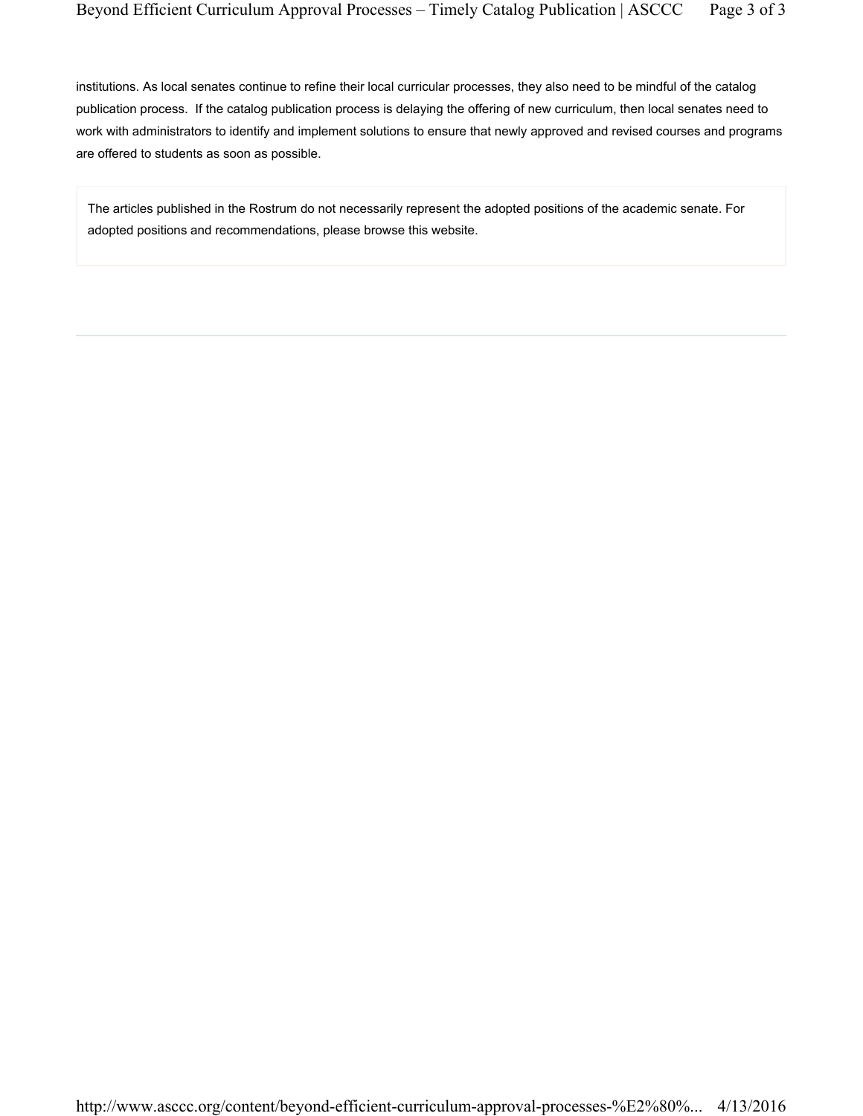institutions. As local senates continue to refine their local curricular processes, they also need to be mindful of the catalog publication process. If the catalog publication process is delaying the offering of new curriculum, then local senates need to work with administrators to identify and implement solutions to ensure that newly approved and revised courses and programs are offered to students as soon as possible.

The articles published in the Rostrum do not necessarily represent the adopted positions of the academic senate. For adopted positions and recommendations, please browse this website.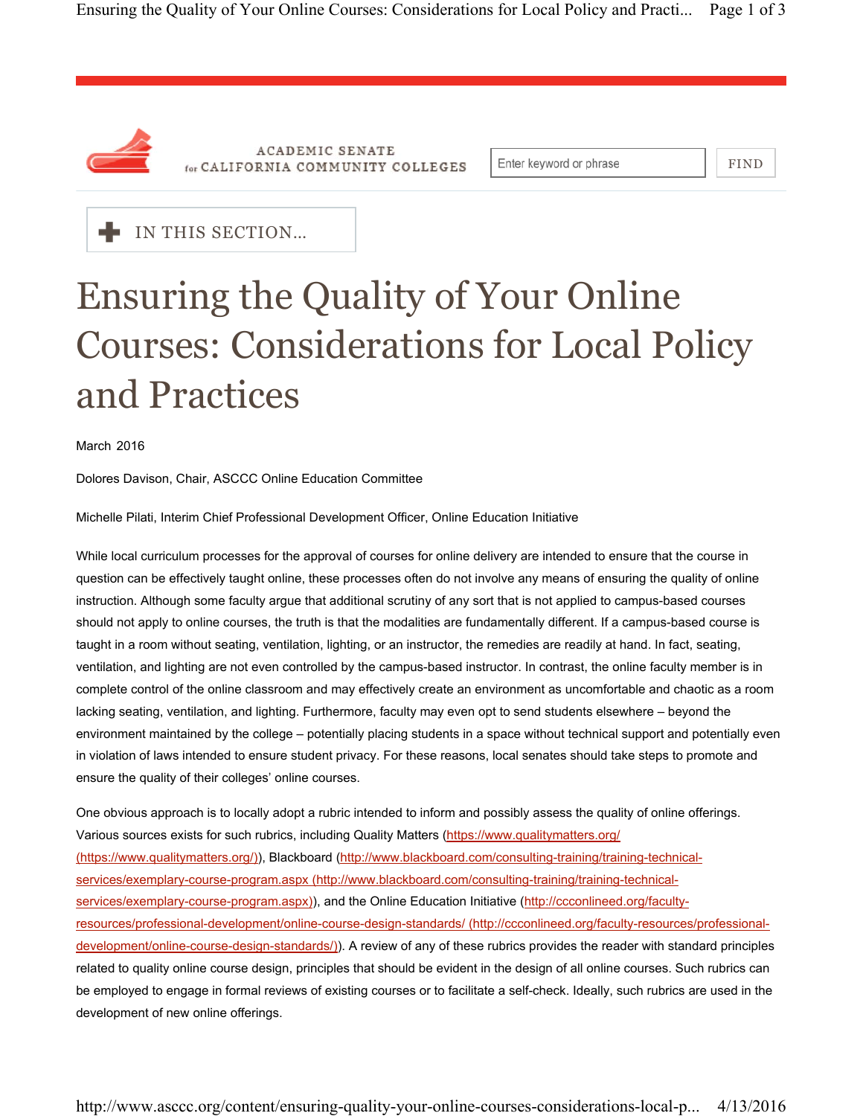

**ACADEMIC SENATE** for CALIFORNIA COMMUNITY COLLEGES

Enter keyword or phrase

FIND



# Ensuring the Quality of Your Online Courses: Considerations for Local Policy and Practices

March 2016

Dolores Davison, Chair, ASCCC Online Education Committee

Michelle Pilati, Interim Chief Professional Development Officer, Online Education Initiative

While local curriculum processes for the approval of courses for online delivery are intended to ensure that the course in question can be effectively taught online, these processes often do not involve any means of ensuring the quality of online instruction. Although some faculty argue that additional scrutiny of any sort that is not applied to campus-based courses should not apply to online courses, the truth is that the modalities are fundamentally different. If a campus-based course is taught in a room without seating, ventilation, lighting, or an instructor, the remedies are readily at hand. In fact, seating, ventilation, and lighting are not even controlled by the campus-based instructor. In contrast, the online faculty member is in complete control of the online classroom and may effectively create an environment as uncomfortable and chaotic as a room lacking seating, ventilation, and lighting. Furthermore, faculty may even opt to send students elsewhere – beyond the environment maintained by the college – potentially placing students in a space without technical support and potentially even in violation of laws intended to ensure student privacy. For these reasons, local senates should take steps to promote and ensure the quality of their colleges' online courses.

One obvious approach is to locally adopt a rubric intended to inform and possibly assess the quality of online offerings. Various sources exists for such rubrics, including Quality Matters (https://www.qualitymatters.org/ (https://www.qualitymatters.org/)), Blackboard (http://www.blackboard.com/consulting-training/training-technicalservices/exemplary-course-program.aspx (http://www.blackboard.com/consulting-training/training-technicalservices/exemplary-course-program.aspx)), and the Online Education Initiative (http://ccconlineed.org/facultyresources/professional-development/online-course-design-standards/ (http://ccconlineed.org/faculty-resources/professionaldevelopment/online-course-design-standards/)). A review of any of these rubrics provides the reader with standard principles related to quality online course design, principles that should be evident in the design of all online courses. Such rubrics can be employed to engage in formal reviews of existing courses or to facilitate a self-check. Ideally, such rubrics are used in the development of new online offerings.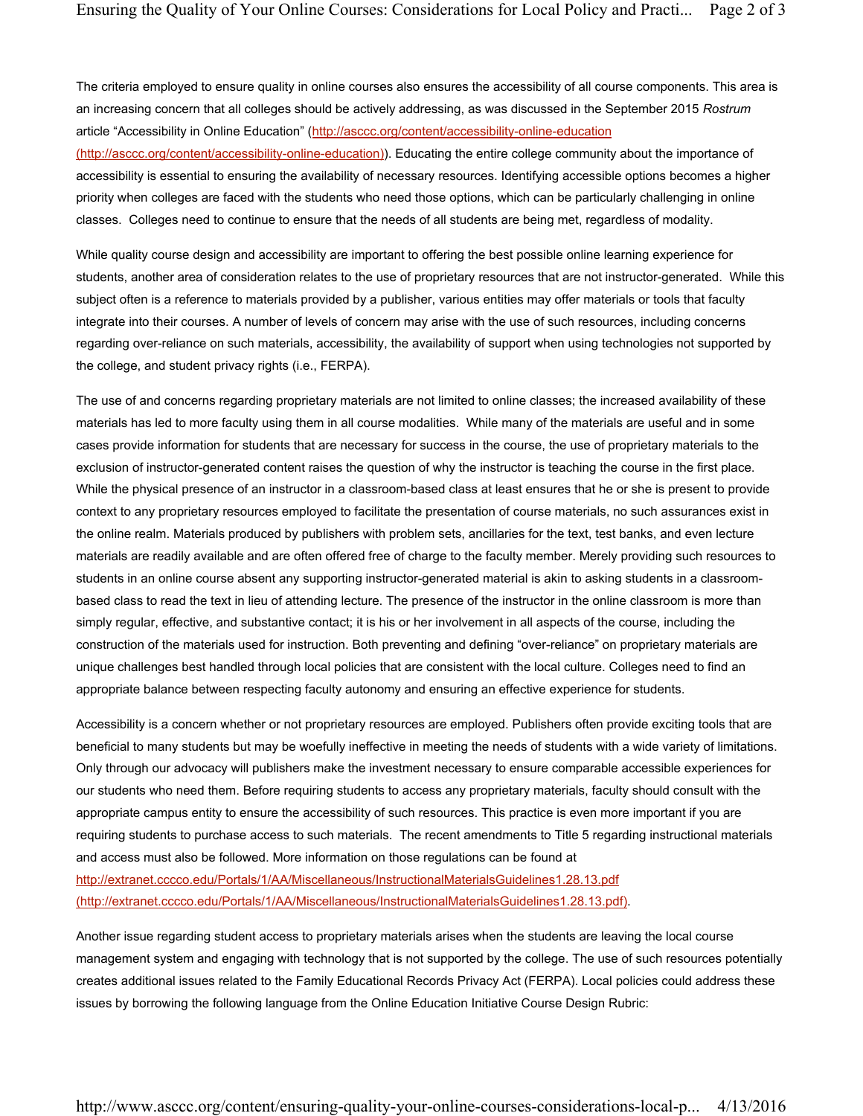The criteria employed to ensure quality in online courses also ensures the accessibility of all course components. This area is an increasing concern that all colleges should be actively addressing, as was discussed in the September 2015 *Rostrum* article "Accessibility in Online Education" (http://asccc.org/content/accessibility-online-education

(http://asccc.org/content/accessibility-online-education)). Educating the entire college community about the importance of accessibility is essential to ensuring the availability of necessary resources. Identifying accessible options becomes a higher priority when colleges are faced with the students who need those options, which can be particularly challenging in online classes. Colleges need to continue to ensure that the needs of all students are being met, regardless of modality.

While quality course design and accessibility are important to offering the best possible online learning experience for students, another area of consideration relates to the use of proprietary resources that are not instructor-generated. While this subject often is a reference to materials provided by a publisher, various entities may offer materials or tools that faculty integrate into their courses. A number of levels of concern may arise with the use of such resources, including concerns regarding over-reliance on such materials, accessibility, the availability of support when using technologies not supported by the college, and student privacy rights (i.e., FERPA).

The use of and concerns regarding proprietary materials are not limited to online classes; the increased availability of these materials has led to more faculty using them in all course modalities. While many of the materials are useful and in some cases provide information for students that are necessary for success in the course, the use of proprietary materials to the exclusion of instructor-generated content raises the question of why the instructor is teaching the course in the first place. While the physical presence of an instructor in a classroom-based class at least ensures that he or she is present to provide context to any proprietary resources employed to facilitate the presentation of course materials, no such assurances exist in the online realm. Materials produced by publishers with problem sets, ancillaries for the text, test banks, and even lecture materials are readily available and are often offered free of charge to the faculty member. Merely providing such resources to students in an online course absent any supporting instructor-generated material is akin to asking students in a classroombased class to read the text in lieu of attending lecture. The presence of the instructor in the online classroom is more than simply regular, effective, and substantive contact; it is his or her involvement in all aspects of the course, including the construction of the materials used for instruction. Both preventing and defining "over-reliance" on proprietary materials are unique challenges best handled through local policies that are consistent with the local culture. Colleges need to find an appropriate balance between respecting faculty autonomy and ensuring an effective experience for students.

Accessibility is a concern whether or not proprietary resources are employed. Publishers often provide exciting tools that are beneficial to many students but may be woefully ineffective in meeting the needs of students with a wide variety of limitations. Only through our advocacy will publishers make the investment necessary to ensure comparable accessible experiences for our students who need them. Before requiring students to access any proprietary materials, faculty should consult with the appropriate campus entity to ensure the accessibility of such resources. This practice is even more important if you are requiring students to purchase access to such materials. The recent amendments to Title 5 regarding instructional materials and access must also be followed. More information on those regulations can be found at http://extranet.cccco.edu/Portals/1/AA/Miscellaneous/InstructionalMaterialsGuidelines1.28.13.pdf (http://extranet.cccco.edu/Portals/1/AA/Miscellaneous/InstructionalMaterialsGuidelines1.28.13.pdf).

Another issue regarding student access to proprietary materials arises when the students are leaving the local course management system and engaging with technology that is not supported by the college. The use of such resources potentially creates additional issues related to the Family Educational Records Privacy Act (FERPA). Local policies could address these issues by borrowing the following language from the Online Education Initiative Course Design Rubric: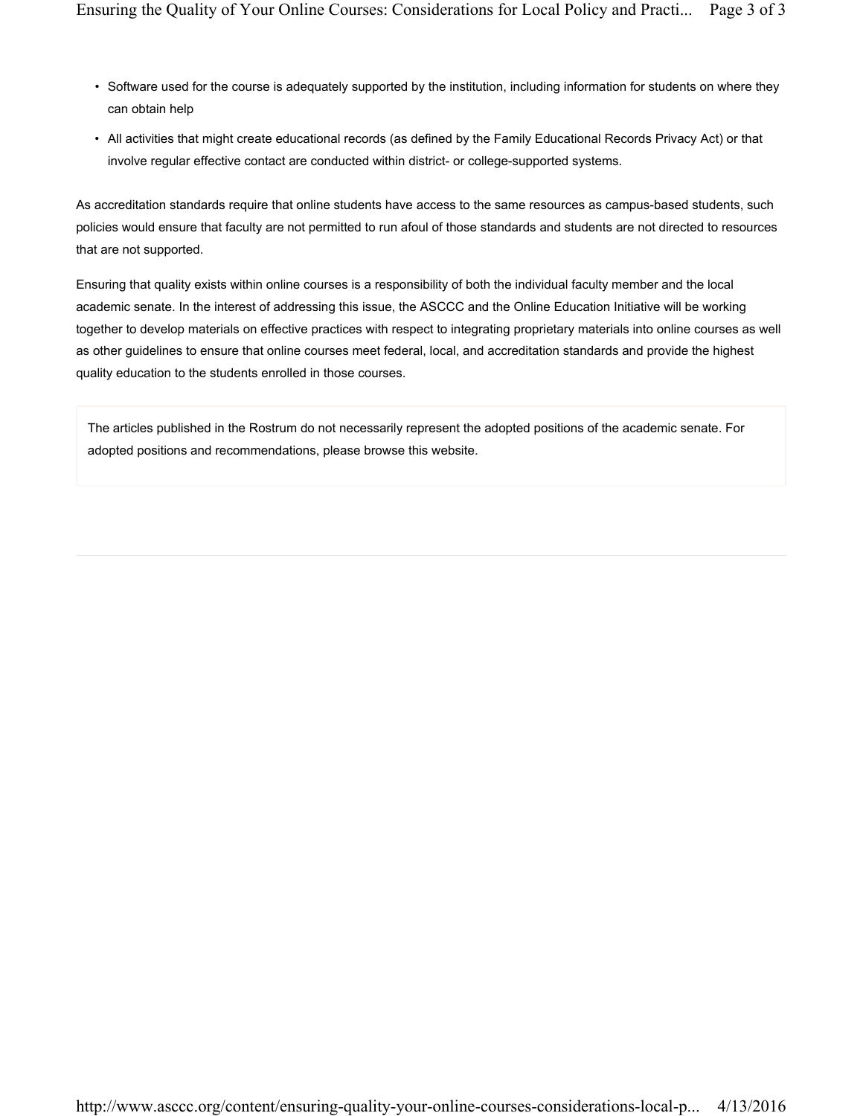- Software used for the course is adequately supported by the institution, including information for students on where they can obtain help
- All activities that might create educational records (as defined by the Family Educational Records Privacy Act) or that involve regular effective contact are conducted within district- or college-supported systems.

As accreditation standards require that online students have access to the same resources as campus-based students, such policies would ensure that faculty are not permitted to run afoul of those standards and students are not directed to resources that are not supported.

Ensuring that quality exists within online courses is a responsibility of both the individual faculty member and the local academic senate. In the interest of addressing this issue, the ASCCC and the Online Education Initiative will be working together to develop materials on effective practices with respect to integrating proprietary materials into online courses as well as other guidelines to ensure that online courses meet federal, local, and accreditation standards and provide the highest quality education to the students enrolled in those courses.

The articles published in the Rostrum do not necessarily represent the adopted positions of the academic senate. For adopted positions and recommendations, please browse this website.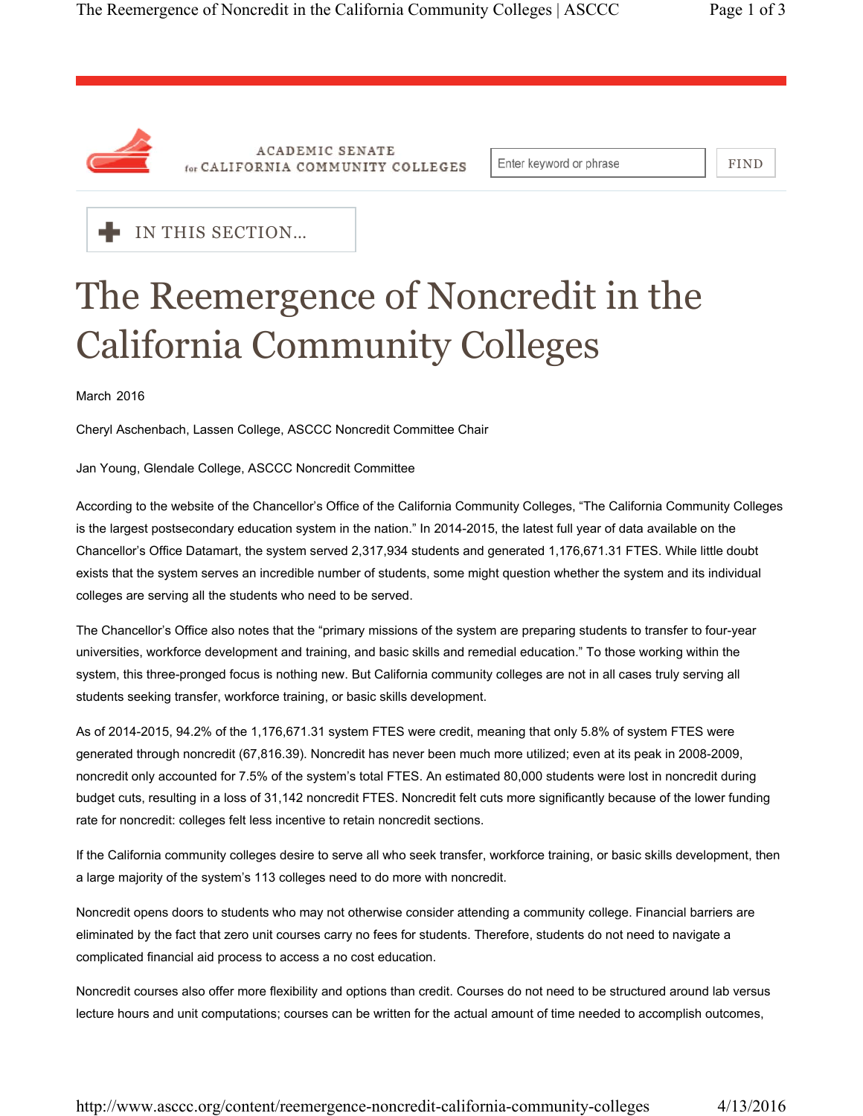

**ACADEMIC SENATE** for CALIFORNIA COMMUNITY COLLEGES

Enter keyword or phrase

FIND



### The Reemergence of Noncredit in the California Community Colleges

March 2016

Cheryl Aschenbach, Lassen College, ASCCC Noncredit Committee Chair

#### Jan Young, Glendale College, ASCCC Noncredit Committee

According to the website of the Chancellor's Office of the California Community Colleges, "The California Community Colleges is the largest postsecondary education system in the nation." In 2014-2015, the latest full year of data available on the Chancellor's Office Datamart, the system served 2,317,934 students and generated 1,176,671.31 FTES. While little doubt exists that the system serves an incredible number of students, some might question whether the system and its individual colleges are serving all the students who need to be served.

The Chancellor's Office also notes that the "primary missions of the system are preparing students to transfer to four-year universities, workforce development and training, and basic skills and remedial education." To those working within the system, this three-pronged focus is nothing new. But California community colleges are not in all cases truly serving all students seeking transfer, workforce training, or basic skills development.

As of 2014-2015, 94.2% of the 1,176,671.31 system FTES were credit, meaning that only 5.8% of system FTES were generated through noncredit (67,816.39). Noncredit has never been much more utilized; even at its peak in 2008-2009, noncredit only accounted for 7.5% of the system's total FTES. An estimated 80,000 students were lost in noncredit during budget cuts, resulting in a loss of 31,142 noncredit FTES. Noncredit felt cuts more significantly because of the lower funding rate for noncredit: colleges felt less incentive to retain noncredit sections.

If the California community colleges desire to serve all who seek transfer, workforce training, or basic skills development, then a large majority of the system's 113 colleges need to do more with noncredit.

Noncredit opens doors to students who may not otherwise consider attending a community college. Financial barriers are eliminated by the fact that zero unit courses carry no fees for students. Therefore, students do not need to navigate a complicated financial aid process to access a no cost education.

Noncredit courses also offer more flexibility and options than credit. Courses do not need to be structured around lab versus lecture hours and unit computations; courses can be written for the actual amount of time needed to accomplish outcomes,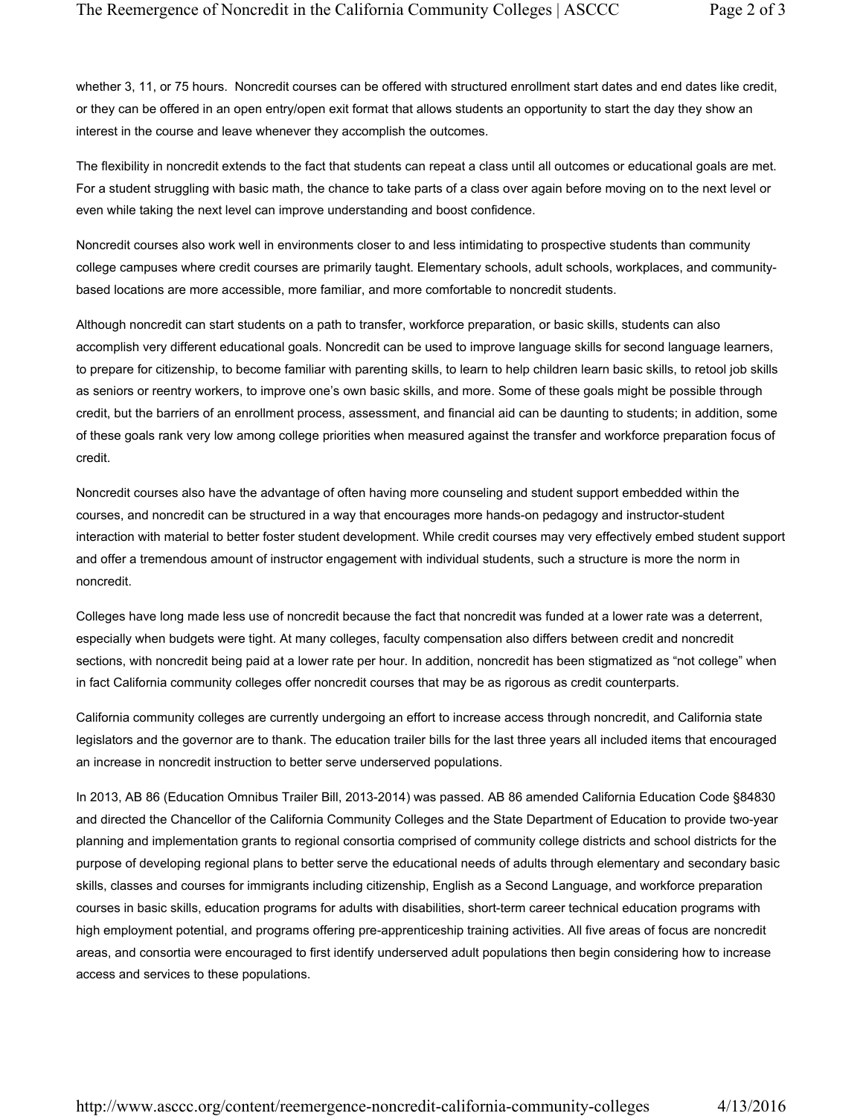whether 3, 11, or 75 hours. Noncredit courses can be offered with structured enrollment start dates and end dates like credit, or they can be offered in an open entry/open exit format that allows students an opportunity to start the day they show an interest in the course and leave whenever they accomplish the outcomes.

The flexibility in noncredit extends to the fact that students can repeat a class until all outcomes or educational goals are met. For a student struggling with basic math, the chance to take parts of a class over again before moving on to the next level or even while taking the next level can improve understanding and boost confidence.

Noncredit courses also work well in environments closer to and less intimidating to prospective students than community college campuses where credit courses are primarily taught. Elementary schools, adult schools, workplaces, and communitybased locations are more accessible, more familiar, and more comfortable to noncredit students.

Although noncredit can start students on a path to transfer, workforce preparation, or basic skills, students can also accomplish very different educational goals. Noncredit can be used to improve language skills for second language learners, to prepare for citizenship, to become familiar with parenting skills, to learn to help children learn basic skills, to retool job skills as seniors or reentry workers, to improve one's own basic skills, and more. Some of these goals might be possible through credit, but the barriers of an enrollment process, assessment, and financial aid can be daunting to students; in addition, some of these goals rank very low among college priorities when measured against the transfer and workforce preparation focus of credit.

Noncredit courses also have the advantage of often having more counseling and student support embedded within the courses, and noncredit can be structured in a way that encourages more hands-on pedagogy and instructor-student interaction with material to better foster student development. While credit courses may very effectively embed student support and offer a tremendous amount of instructor engagement with individual students, such a structure is more the norm in noncredit.

Colleges have long made less use of noncredit because the fact that noncredit was funded at a lower rate was a deterrent, especially when budgets were tight. At many colleges, faculty compensation also differs between credit and noncredit sections, with noncredit being paid at a lower rate per hour. In addition, noncredit has been stigmatized as "not college" when in fact California community colleges offer noncredit courses that may be as rigorous as credit counterparts.

California community colleges are currently undergoing an effort to increase access through noncredit, and California state legislators and the governor are to thank. The education trailer bills for the last three years all included items that encouraged an increase in noncredit instruction to better serve underserved populations.

In 2013, AB 86 (Education Omnibus Trailer Bill, 2013-2014) was passed. AB 86 amended California Education Code §84830 and directed the Chancellor of the California Community Colleges and the State Department of Education to provide two-year planning and implementation grants to regional consortia comprised of community college districts and school districts for the purpose of developing regional plans to better serve the educational needs of adults through elementary and secondary basic skills, classes and courses for immigrants including citizenship, English as a Second Language, and workforce preparation courses in basic skills, education programs for adults with disabilities, short-term career technical education programs with high employment potential, and programs offering pre-apprenticeship training activities. All five areas of focus are noncredit areas, and consortia were encouraged to first identify underserved adult populations then begin considering how to increase access and services to these populations.